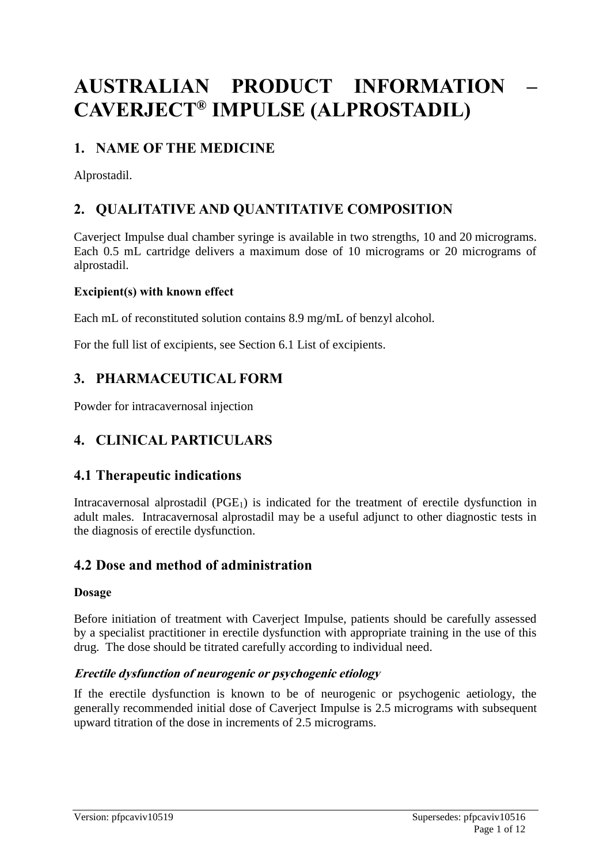# **AUSTRALIAN PRODUCT INFORMATION – CAVERJECT® IMPULSE (ALPROSTADIL)**

# **1. NAME OF THE MEDICINE**

Alprostadil.

# **2. QUALITATIVE AND QUANTITATIVE COMPOSITION**

Caverject Impulse dual chamber syringe is available in two strengths, 10 and 20 micrograms. Each 0.5 mL cartridge delivers a maximum dose of 10 micrograms or 20 micrograms of alprostadil.

### **Excipient(s) with known effect**

Each mL of reconstituted solution contains 8.9 mg/mL of benzyl alcohol.

For the full list of excipients, see Section 6.1 List of excipients.

# **3. PHARMACEUTICAL FORM**

Powder for intracavernosal injection

# **4. CLINICAL PARTICULARS**

### **4.1 Therapeutic indications**

Intracavernosal alprostadil (PGE<sub>1</sub>) is indicated for the treatment of erectile dysfunction in adult males. Intracavernosal alprostadil may be a useful adjunct to other diagnostic tests in the diagnosis of erectile dysfunction.

## **4.2 Dose and method of administration**

### **Dosage**

Before initiation of treatment with Caverject Impulse, patients should be carefully assessed by a specialist practitioner in erectile dysfunction with appropriate training in the use of this drug. The dose should be titrated carefully according to individual need.

### **Erectile dysfunction of neurogenic or psychogenic etiology**

If the erectile dysfunction is known to be of neurogenic or psychogenic aetiology, the generally recommended initial dose of Caverject Impulse is 2.5 micrograms with subsequent upward titration of the dose in increments of 2.5 micrograms.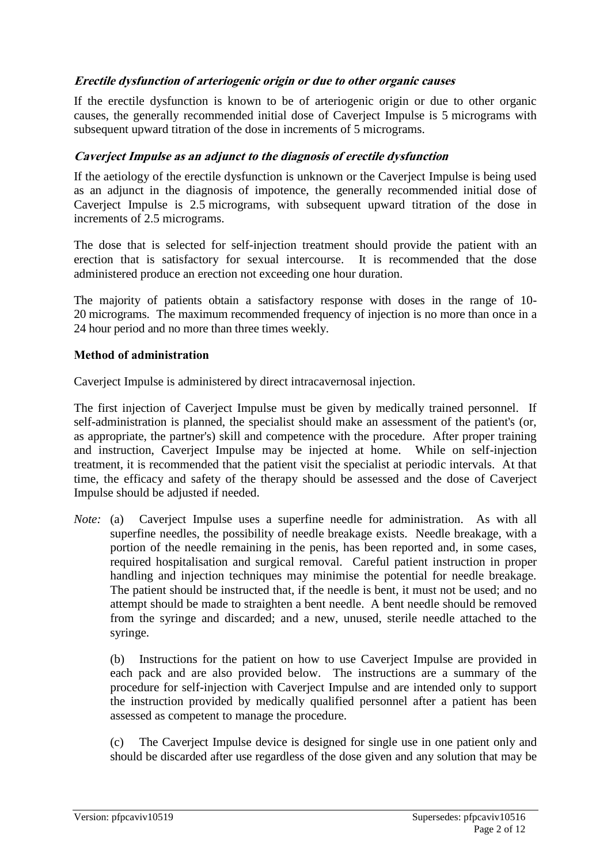#### **Erectile dysfunction of arteriogenic origin or due to other organic causes**

If the erectile dysfunction is known to be of arteriogenic origin or due to other organic causes, the generally recommended initial dose of Caverject Impulse is 5 micrograms with subsequent upward titration of the dose in increments of 5 micrograms.

#### **Caverject Impulse as an adjunct to the diagnosis of erectile dysfunction**

If the aetiology of the erectile dysfunction is unknown or the Caverject Impulse is being used as an adjunct in the diagnosis of impotence, the generally recommended initial dose of Caverject Impulse is 2.5 micrograms, with subsequent upward titration of the dose in increments of 2.5 micrograms.

The dose that is selected for self-injection treatment should provide the patient with an erection that is satisfactory for sexual intercourse. It is recommended that the dose administered produce an erection not exceeding one hour duration.

The majority of patients obtain a satisfactory response with doses in the range of 10- 20 micrograms. The maximum recommended frequency of injection is no more than once in a 24 hour period and no more than three times weekly.

#### **Method of administration**

Caverject Impulse is administered by direct intracavernosal injection.

The first injection of Caverject Impulse must be given by medically trained personnel. If self-administration is planned, the specialist should make an assessment of the patient's (or, as appropriate, the partner's) skill and competence with the procedure. After proper training and instruction, Caverject Impulse may be injected at home. While on self-injection treatment, it is recommended that the patient visit the specialist at periodic intervals. At that time, the efficacy and safety of the therapy should be assessed and the dose of Caverject Impulse should be adjusted if needed.

*Note:* (a) Caverject Impulse uses a superfine needle for administration. As with all superfine needles, the possibility of needle breakage exists. Needle breakage, with a portion of the needle remaining in the penis, has been reported and, in some cases, required hospitalisation and surgical removal. Careful patient instruction in proper handling and injection techniques may minimise the potential for needle breakage. The patient should be instructed that, if the needle is bent, it must not be used; and no attempt should be made to straighten a bent needle. A bent needle should be removed from the syringe and discarded; and a new, unused, sterile needle attached to the syringe.

(b) Instructions for the patient on how to use Caverject Impulse are provided in each pack and are also provided below. The instructions are a summary of the procedure for self-injection with Caverject Impulse and are intended only to support the instruction provided by medically qualified personnel after a patient has been assessed as competent to manage the procedure.

(c) The Caverject Impulse device is designed for single use in one patient only and should be discarded after use regardless of the dose given and any solution that may be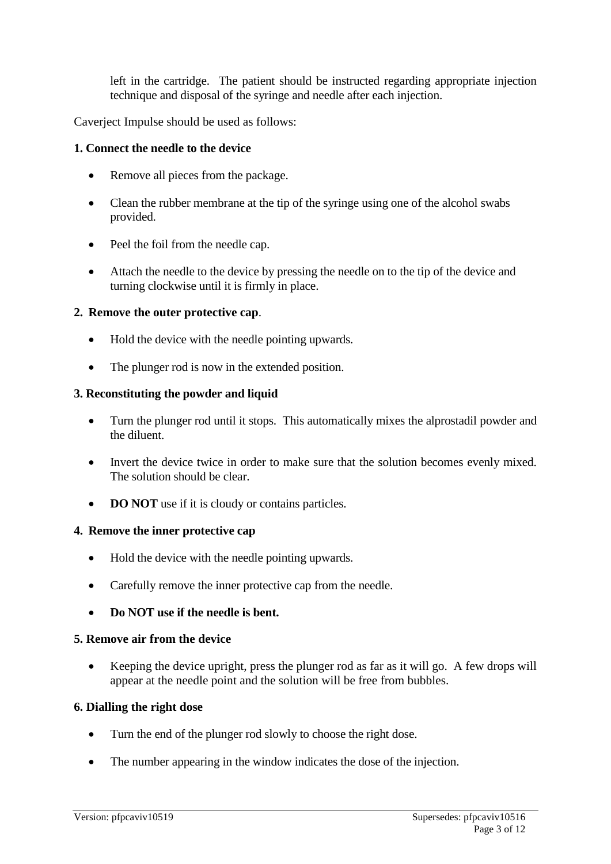left in the cartridge. The patient should be instructed regarding appropriate injection technique and disposal of the syringe and needle after each injection.

Caverject Impulse should be used as follows:

#### **1. Connect the needle to the device**

- Remove all pieces from the package.
- Clean the rubber membrane at the tip of the syringe using one of the alcohol swabs provided.
- Peel the foil from the needle cap.
- Attach the needle to the device by pressing the needle on to the tip of the device and turning clockwise until it is firmly in place.

#### **2. Remove the outer protective cap**.

- Hold the device with the needle pointing upwards.
- The plunger rod is now in the extended position.

#### **3. Reconstituting the powder and liquid**

- Turn the plunger rod until it stops. This automatically mixes the alprostadil powder and the diluent.
- Invert the device twice in order to make sure that the solution becomes evenly mixed. The solution should be clear.
- **DO NOT** use if it is cloudy or contains particles.

#### **4. Remove the inner protective cap**

- Hold the device with the needle pointing upwards.
- Carefully remove the inner protective cap from the needle.
- **Do NOT use if the needle is bent.**

#### **5. Remove air from the device**

• Keeping the device upright, press the plunger rod as far as it will go. A few drops will appear at the needle point and the solution will be free from bubbles.

#### **6. Dialling the right dose**

- Turn the end of the plunger rod slowly to choose the right dose.
- The number appearing in the window indicates the dose of the injection.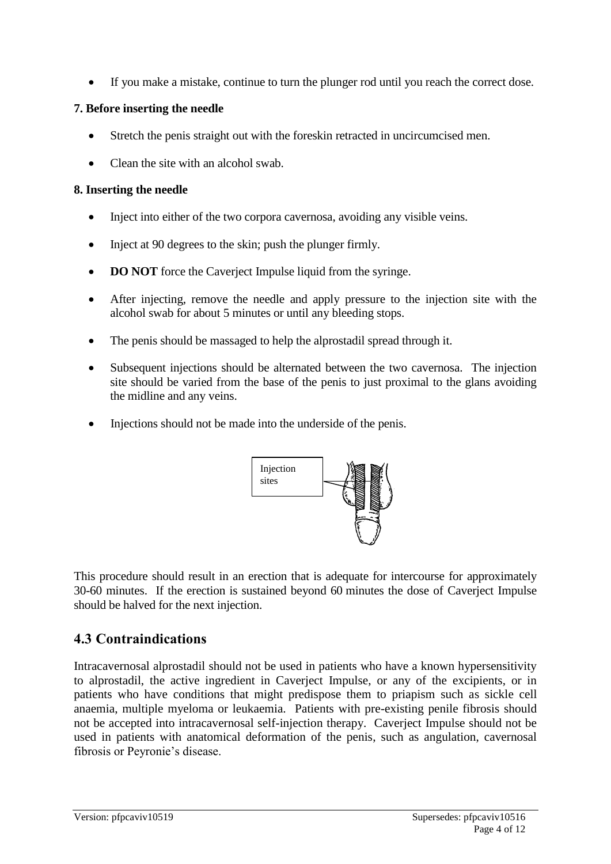If you make a mistake, continue to turn the plunger rod until you reach the correct dose.

### **7. Before inserting the needle**

- Stretch the penis straight out with the foreskin retracted in uncircumcised men.
- Clean the site with an alcohol swab.

#### **8. Inserting the needle**

- Inject into either of the two corpora cavernosa, avoiding any visible veins.
- Inject at 90 degrees to the skin; push the plunger firmly.
- **DO NOT** force the Caverject Impulse liquid from the syringe.
- After injecting, remove the needle and apply pressure to the injection site with the alcohol swab for about 5 minutes or until any bleeding stops.
- The penis should be massaged to help the alprostadil spread through it.
- Subsequent injections should be alternated between the two cavernosa. The injection site should be varied from the base of the penis to just proximal to the glans avoiding the midline and any veins.
- Injections should not be made into the underside of the penis.



This procedure should result in an erection that is adequate for intercourse for approximately 30-60 minutes. If the erection is sustained beyond 60 minutes the dose of Caverject Impulse should be halved for the next injection.

# **4.3 Contraindications**

Intracavernosal alprostadil should not be used in patients who have a known hypersensitivity to alprostadil, the active ingredient in Caverject Impulse, or any of the excipients, or in patients who have conditions that might predispose them to priapism such as sickle cell anaemia, multiple myeloma or leukaemia. Patients with pre-existing penile fibrosis should not be accepted into intracavernosal self-injection therapy. Caverject Impulse should not be used in patients with anatomical deformation of the penis, such as angulation, cavernosal fibrosis or Peyronie's disease.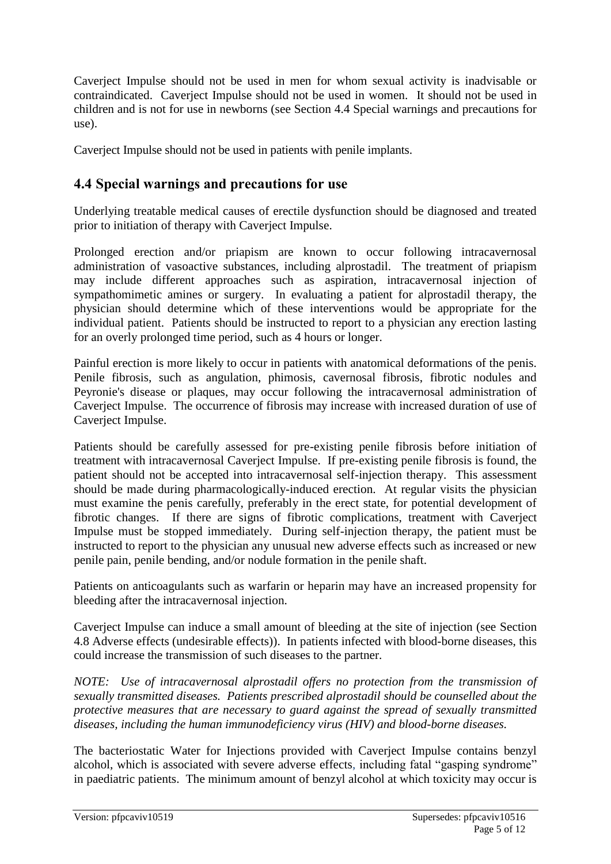Caverject Impulse should not be used in men for whom sexual activity is inadvisable or contraindicated. Caverject Impulse should not be used in women. It should not be used in children and is not for use in newborns (see Section 4.4 Special warnings and precautions for use).

Caverject Impulse should not be used in patients with penile implants.

### **4.4 Special warnings and precautions for use**

Underlying treatable medical causes of erectile dysfunction should be diagnosed and treated prior to initiation of therapy with Caverject Impulse.

Prolonged erection and/or priapism are known to occur following intracavernosal administration of vasoactive substances, including alprostadil. The treatment of priapism may include different approaches such as aspiration, intracavernosal injection of sympathomimetic amines or surgery. In evaluating a patient for alprostadil therapy, the physician should determine which of these interventions would be appropriate for the individual patient. Patients should be instructed to report to a physician any erection lasting for an overly prolonged time period, such as 4 hours or longer.

Painful erection is more likely to occur in patients with anatomical deformations of the penis. Penile fibrosis, such as angulation, phimosis, cavernosal fibrosis, fibrotic nodules and Peyronie's disease or plaques, may occur following the intracavernosal administration of Caverject Impulse. The occurrence of fibrosis may increase with increased duration of use of Caverject Impulse.

Patients should be carefully assessed for pre-existing penile fibrosis before initiation of treatment with intracavernosal Caverject Impulse. If pre-existing penile fibrosis is found, the patient should not be accepted into intracavernosal self-injection therapy. This assessment should be made during pharmacologically-induced erection. At regular visits the physician must examine the penis carefully, preferably in the erect state, for potential development of fibrotic changes. If there are signs of fibrotic complications, treatment with Caverject Impulse must be stopped immediately. During self-injection therapy, the patient must be instructed to report to the physician any unusual new adverse effects such as increased or new penile pain, penile bending, and/or nodule formation in the penile shaft.

Patients on anticoagulants such as warfarin or heparin may have an increased propensity for bleeding after the intracavernosal injection.

Caverject Impulse can induce a small amount of bleeding at the site of injection (see Section 4.8 Adverse effects (undesirable effects)). In patients infected with blood-borne diseases, this could increase the transmission of such diseases to the partner.

*NOTE: Use of intracavernosal alprostadil offers no protection from the transmission of sexually transmitted diseases. Patients prescribed alprostadil should be counselled about the protective measures that are necessary to guard against the spread of sexually transmitted diseases, including the human immunodeficiency virus (HIV) and blood-borne diseases.*

The bacteriostatic Water for Injections provided with Caverject Impulse contains benzyl alcohol, which is associated with severe adverse effects, including fatal "gasping syndrome" in paediatric patients. The minimum amount of benzyl alcohol at which toxicity may occur is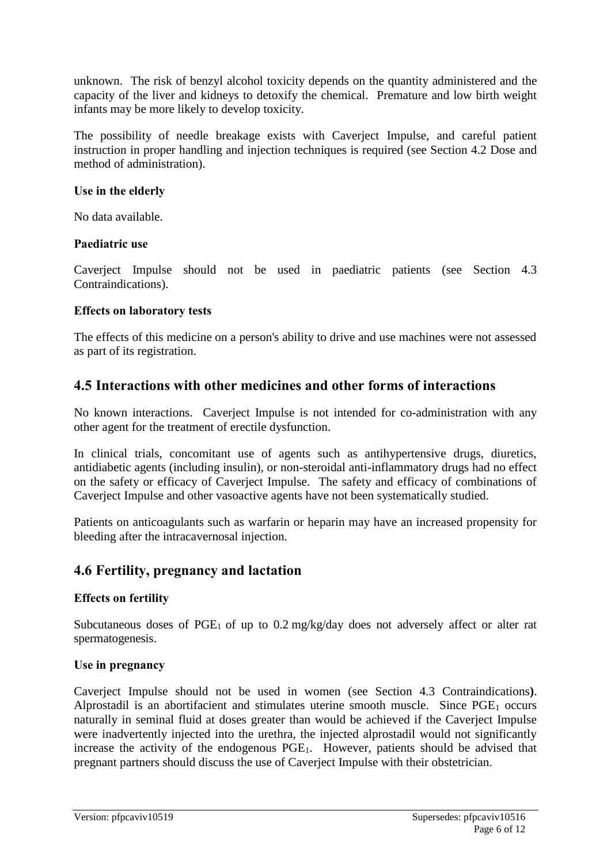unknown. The risk of benzyl alcohol toxicity depends on the quantity administered and the capacity of the liver and kidneys to detoxify the chemical. Premature and low birth weight infants may be more likely to develop toxicity.

The possibility of needle breakage exists with Caverject Impulse, and careful patient instruction in proper handling and injection techniques is required (see Section 4.2 Dose and method of administration).

#### **Use in the elderly**

No data available.

#### **Paediatric use**

Caverject Impulse should not be used in paediatric patients (see Section 4.3 Contraindications).

#### **Effects on laboratory tests**

The effects of this medicine on a person's ability to drive and use machines were not assessed as part of its registration.

### **4.5 Interactions with other medicines and other forms of interactions**

No known interactions. Caverject Impulse is not intended for co-administration with any other agent for the treatment of erectile dysfunction.

In clinical trials, concomitant use of agents such as antihypertensive drugs, diuretics, antidiabetic agents (including insulin), or non-steroidal anti-inflammatory drugs had no effect on the safety or efficacy of Caverject Impulse. The safety and efficacy of combinations of Caverject Impulse and other vasoactive agents have not been systematically studied.

Patients on anticoagulants such as warfarin or heparin may have an increased propensity for bleeding after the intracavernosal injection.

### **4.6 Fertility, pregnancy and lactation**

### **Effects on fertility**

Subcutaneous doses of  $PGE_1$  of up to 0.2 mg/kg/day does not adversely affect or alter rat spermatogenesis.

### **Use in pregnancy**

Caverject Impulse should not be used in women (see Section 4.3 Contraindications**)**. Alprostadil is an abortifacient and stimulates uterine smooth muscle. Since  $PGE<sub>1</sub>$  occurs naturally in seminal fluid at doses greater than would be achieved if the Caverject Impulse were inadvertently injected into the urethra, the injected alprostadil would not significantly increase the activity of the endogenous PGE<sub>1</sub>. However, patients should be advised that pregnant partners should discuss the use of Caverject Impulse with their obstetrician.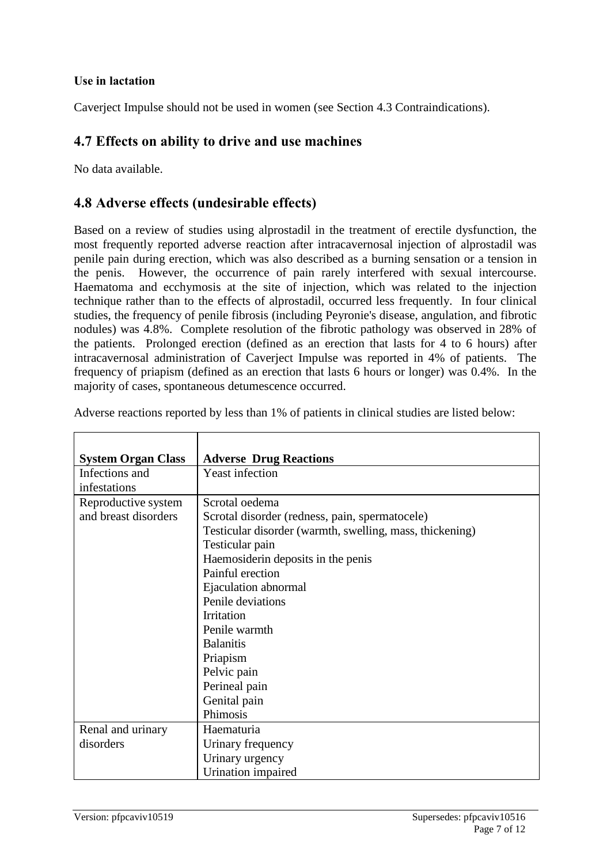#### **Use in lactation**

Caverject Impulse should not be used in women (see Section 4.3 Contraindications).

### **4.7 Effects on ability to drive and use machines**

No data available.

### **4.8 Adverse effects (undesirable effects)**

Based on a review of studies using alprostadil in the treatment of erectile dysfunction, the most frequently reported adverse reaction after intracavernosal injection of alprostadil was penile pain during erection, which was also described as a burning sensation or a tension in the penis. However, the occurrence of pain rarely interfered with sexual intercourse. Haematoma and ecchymosis at the site of injection, which was related to the injection technique rather than to the effects of alprostadil, occurred less frequently. In four clinical studies, the frequency of penile fibrosis (including Peyronie's disease, angulation, and fibrotic nodules) was 4.8%. Complete resolution of the fibrotic pathology was observed in 28% of the patients. Prolonged erection (defined as an erection that lasts for 4 to 6 hours) after intracavernosal administration of Caverject Impulse was reported in 4% of patients. The frequency of priapism (defined as an erection that lasts 6 hours or longer) was 0.4%. In the majority of cases, spontaneous detumescence occurred.

| <b>System Organ Class</b> | <b>Adverse Drug Reactions</b>                            |
|---------------------------|----------------------------------------------------------|
| Infections and            | <b>Yeast infection</b>                                   |
| infestations              |                                                          |
| Reproductive system       | Scrotal oedema                                           |
| and breast disorders      | Scrotal disorder (redness, pain, spermatocele)           |
|                           | Testicular disorder (warmth, swelling, mass, thickening) |
|                           | Testicular pain                                          |
|                           | Haemosiderin deposits in the penis                       |
|                           | Painful erection                                         |
|                           | Ejaculation abnormal                                     |
|                           | Penile deviations                                        |
|                           | <b>Irritation</b>                                        |
|                           | Penile warmth                                            |
|                           | <b>Balanitis</b>                                         |
|                           | Priapism                                                 |
|                           | Pelvic pain                                              |
|                           | Perineal pain                                            |
|                           | Genital pain                                             |
|                           | Phimosis                                                 |
| Renal and urinary         | Haematuria                                               |
| disorders                 | Urinary frequency                                        |
|                           | Urinary urgency                                          |
|                           | Urination impaired                                       |

Adverse reactions reported by less than 1% of patients in clinical studies are listed below: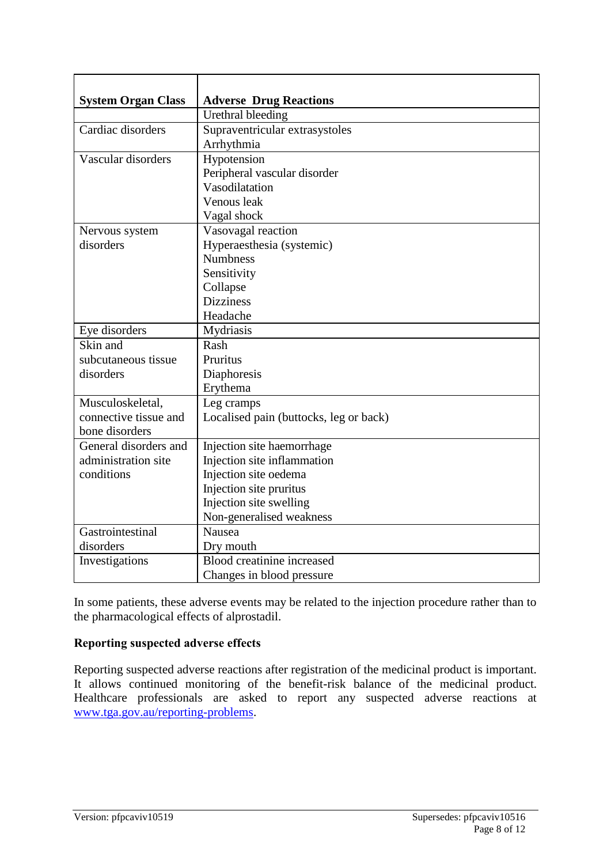| <b>System Organ Class</b> | <b>Adverse Drug Reactions</b>          |
|---------------------------|----------------------------------------|
|                           | Urethral bleeding                      |
| Cardiac disorders         | Supraventricular extrasystoles         |
|                           | Arrhythmia                             |
| Vascular disorders        | Hypotension                            |
|                           | Peripheral vascular disorder           |
|                           | Vasodilatation                         |
|                           | Venous leak                            |
|                           | Vagal shock                            |
| Nervous system            | Vasovagal reaction                     |
| disorders                 | Hyperaesthesia (systemic)              |
|                           | <b>Numbness</b>                        |
|                           | Sensitivity                            |
|                           | Collapse                               |
|                           | <b>Dizziness</b>                       |
|                           | Headache                               |
| Eye disorders             | Mydriasis                              |
| Skin and                  | Rash                                   |
| subcutaneous tissue       | Pruritus                               |
| disorders                 | Diaphoresis                            |
|                           | Erythema                               |
| Musculoskeletal,          | Leg cramps                             |
| connective tissue and     | Localised pain (buttocks, leg or back) |
| bone disorders            |                                        |
| General disorders and     | Injection site haemorrhage             |
| administration site       | Injection site inflammation            |
| conditions                | Injection site oedema                  |
|                           | Injection site pruritus                |
|                           | Injection site swelling                |
|                           | Non-generalised weakness               |
| Gastrointestinal          | Nausea                                 |
| disorders                 | Dry mouth                              |
| Investigations            | Blood creatinine increased             |
|                           | Changes in blood pressure              |

In some patients, these adverse events may be related to the injection procedure rather than to the pharmacological effects of alprostadil.

#### **Reporting suspected adverse effects**

Reporting suspected adverse reactions after registration of the medicinal product is important. It allows continued monitoring of the benefit-risk balance of the medicinal product. Healthcare professionals are asked to report any suspected adverse reactions at [www.tga.gov.au/reporting-problems.](http://www.tga.gov.au/reporting-problems)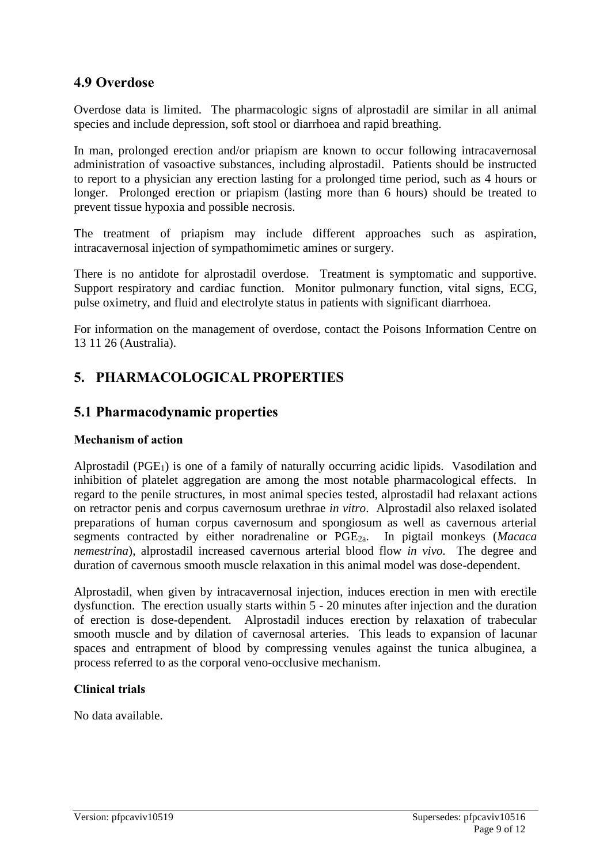### **4.9 Overdose**

Overdose data is limited. The pharmacologic signs of alprostadil are similar in all animal species and include depression, soft stool or diarrhoea and rapid breathing.

In man, prolonged erection and/or priapism are known to occur following intracavernosal administration of vasoactive substances, including alprostadil. Patients should be instructed to report to a physician any erection lasting for a prolonged time period, such as 4 hours or longer. Prolonged erection or priapism (lasting more than 6 hours) should be treated to prevent tissue hypoxia and possible necrosis.

The treatment of priapism may include different approaches such as aspiration, intracavernosal injection of sympathomimetic amines or surgery.

There is no antidote for alprostadil overdose. Treatment is symptomatic and supportive. Support respiratory and cardiac function. Monitor pulmonary function, vital signs, ECG, pulse oximetry, and fluid and electrolyte status in patients with significant diarrhoea.

For information on the management of overdose, contact the Poisons Information Centre on 13 11 26 (Australia).

# **5. PHARMACOLOGICAL PROPERTIES**

### **5.1 Pharmacodynamic properties**

#### **Mechanism of action**

Alprostadil (PGE<sub>1</sub>) is one of a family of naturally occurring acidic lipids. Vasodilation and inhibition of platelet aggregation are among the most notable pharmacological effects. In regard to the penile structures, in most animal species tested, alprostadil had relaxant actions on retractor penis and corpus cavernosum urethrae *in vitro*. Alprostadil also relaxed isolated preparations of human corpus cavernosum and spongiosum as well as cavernous arterial segments contracted by either noradrenaline or PGE2a. In pigtail monkeys (*Macaca nemestrina*), alprostadil increased cavernous arterial blood flow *in vivo.* The degree and duration of cavernous smooth muscle relaxation in this animal model was dose-dependent.

Alprostadil, when given by intracavernosal injection, induces erection in men with erectile dysfunction. The erection usually starts within 5 - 20 minutes after injection and the duration of erection is dose-dependent. Alprostadil induces erection by relaxation of trabecular smooth muscle and by dilation of cavernosal arteries. This leads to expansion of lacunar spaces and entrapment of blood by compressing venules against the tunica albuginea, a process referred to as the corporal veno-occlusive mechanism.

#### **Clinical trials**

No data available.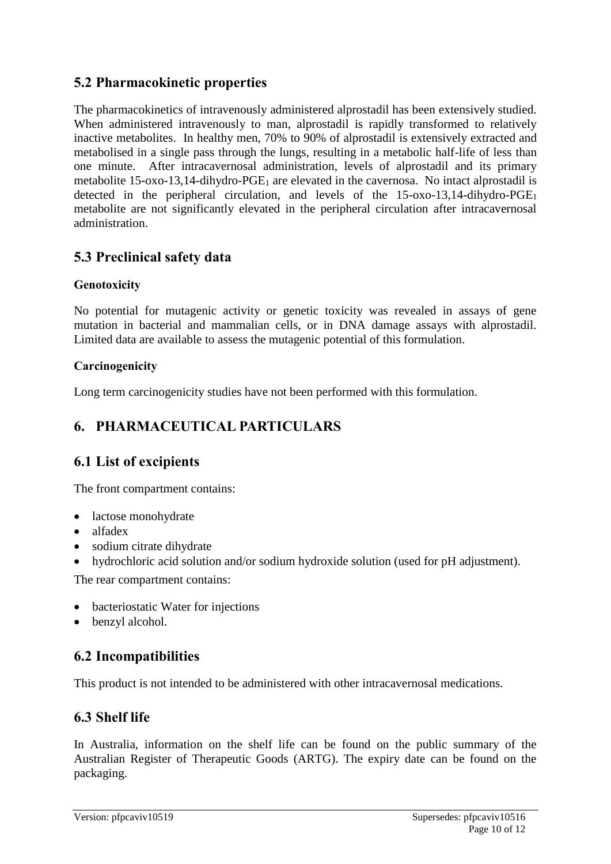# **5.2 Pharmacokinetic properties**

The pharmacokinetics of intravenously administered alprostadil has been extensively studied. When administered intravenously to man, alprostadil is rapidly transformed to relatively inactive metabolites. In healthy men, 70% to 90% of alprostadil is extensively extracted and metabolised in a single pass through the lungs, resulting in a metabolic half-life of less than one minute. After intracavernosal administration, levels of alprostadil and its primary metabolite 15-oxo-13,14-dihydro-PGE<sub>1</sub> are elevated in the cavernosa. No intact alprostadil is detected in the peripheral circulation, and levels of the 15-oxo-13,14-dihydro-PGE<sup>1</sup> metabolite are not significantly elevated in the peripheral circulation after intracavernosal administration.

# **5.3 Preclinical safety data**

### **Genotoxicity**

No potential for mutagenic activity or genetic toxicity was revealed in assays of gene mutation in bacterial and mammalian cells, or in DNA damage assays with alprostadil. Limited data are available to assess the mutagenic potential of this formulation.

### **Carcinogenicity**

Long term carcinogenicity studies have not been performed with this formulation.

# **6. PHARMACEUTICAL PARTICULARS**

## **6.1 List of excipients**

The front compartment contains:

- lactose monohydrate
- alfadex
- sodium citrate dihydrate
- hydrochloric acid solution and/or sodium hydroxide solution (used for pH adjustment).

The rear compartment contains:

- bacteriostatic Water for injections
- benzyl alcohol.

## **6.2 Incompatibilities**

This product is not intended to be administered with other intracavernosal medications.

## **6.3 Shelf life**

In Australia, information on the shelf life can be found on the public summary of the Australian Register of Therapeutic Goods (ARTG). The expiry date can be found on the packaging.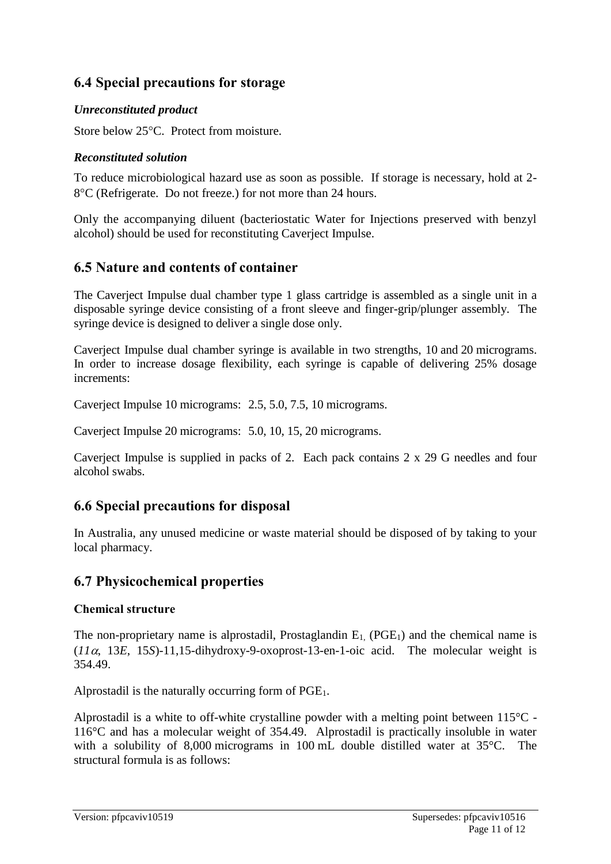# **6.4 Special precautions for storage**

### *Unreconstituted product*

Store below 25°C. Protect from moisture.

### *Reconstituted solution*

To reduce microbiological hazard use as soon as possible. If storage is necessary, hold at 2- 8<sup>o</sup>C (Refrigerate. Do not freeze.) for not more than 24 hours.

Only the accompanying diluent (bacteriostatic Water for Injections preserved with benzyl alcohol) should be used for reconstituting Caverject Impulse.

# **6.5 Nature and contents of container**

The Caverject Impulse dual chamber type 1 glass cartridge is assembled as a single unit in a disposable syringe device consisting of a front sleeve and finger-grip/plunger assembly. The syringe device is designed to deliver a single dose only.

Caverject Impulse dual chamber syringe is available in two strengths, 10 and 20 micrograms. In order to increase dosage flexibility, each syringe is capable of delivering 25% dosage increments:

Caverject Impulse 10 micrograms: 2.5, 5.0, 7.5, 10 micrograms.

Caverject Impulse 20 micrograms: 5.0, 10, 15, 20 micrograms.

Caverject Impulse is supplied in packs of 2. Each pack contains 2 x 29 G needles and four alcohol swabs.

## **6.6 Special precautions for disposal**

In Australia, any unused medicine or waste material should be disposed of by taking to your local pharmacy.

## **6.7 Physicochemical properties**

### **Chemical structure**

The non-proprietary name is alprostadil, Prostaglandin  $E_1$ , (PGE<sub>1</sub>) and the chemical name is  $(11\alpha, 13E, 15S)$ -11,15-dihydroxy-9-oxoprost-13-en-1-oic acid. The molecular weight is 354.49.

Alprostadil is the naturally occurring form of  $PGE<sub>1</sub>$ .

Alprostadil is a white to off-white crystalline powder with a melting point between 115°C - 116°C and has a molecular weight of 354.49. Alprostadil is practically insoluble in water with a solubility of 8,000 micrograms in 100 mL double distilled water at 35°C. The structural formula is as follows: